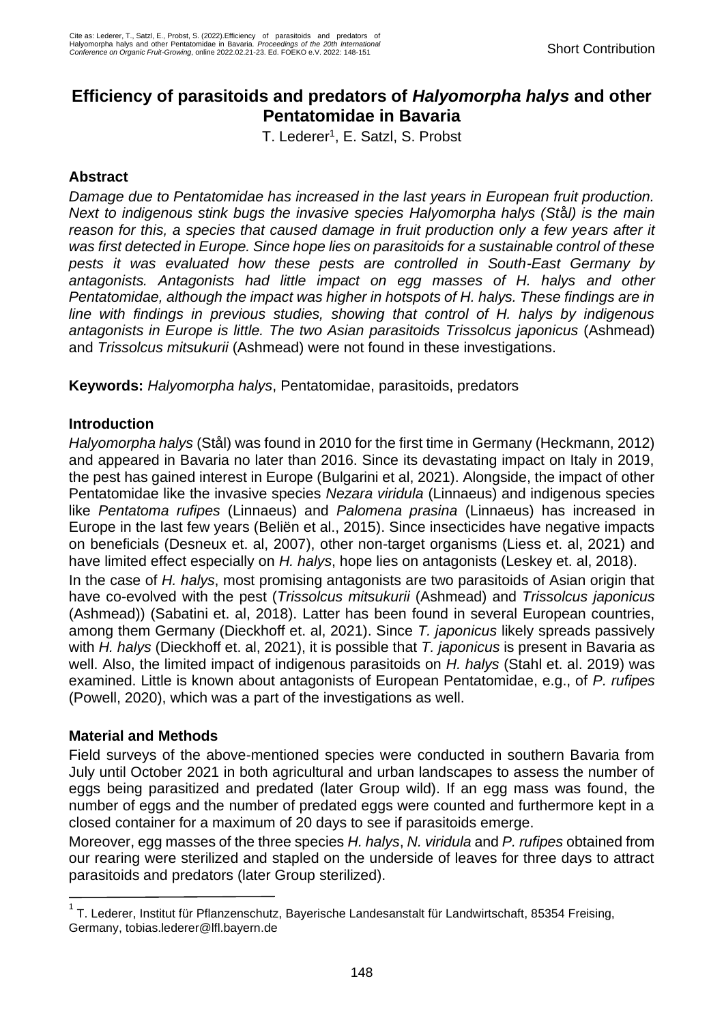# **Efficiency of parasitoids and predators of** *Halyomorpha halys* **and other Pentatomidae in Bavaria**

T. Lederer<sup>1</sup>, E. Satzl, S. Probst

# **Abstract**

*Damage due to Pentatomidae has increased in the last years in European fruit production. Next to indigenous stink bugs the invasive species Halyomorpha halys (St*å*l) is the main reason for this, a species that caused damage in fruit production only a few years after it was first detected in Europe. Since hope lies on parasitoids for a sustainable control of these pests it was evaluated how these pests are controlled in South-East Germany by antagonists. Antagonists had little impact on egg masses of H. halys and other Pentatomidae, although the impact was higher in hotspots of H. halys. These findings are in line with findings in previous studies, showing that control of H. halys by indigenous antagonists in Europe is little. The two Asian parasitoids Trissolcus japonicus* (Ashmead) and *Trissolcus mitsukurii* (Ashmead) were not found in these investigations.

**Keywords:** *Halyomorpha halys*, Pentatomidae, parasitoids, predators

# **Introduction**

*Halyomorpha halys* (Stål) was found in 2010 for the first time in Germany (Heckmann, 2012) and appeared in Bavaria no later than 2016. Since its devastating impact on Italy in 2019, the pest has gained interest in Europe (Bulgarini et al, 2021). Alongside, the impact of other Pentatomidae like the invasive species *Nezara viridula* (Linnaeus) and indigenous species like *Pentatoma rufipes* (Linnaeus) and *Palomena prasina* (Linnaeus) has increased in Europe in the last few years (Beliën et al., 2015). Since insecticides have negative impacts on beneficials (Desneux et. al, 2007), other non-target organisms (Liess et. al, 2021) and have limited effect especially on *H. halys*, hope lies on antagonists (Leskey et. al, 2018). In the case of *H. halys*, most promising antagonists are two parasitoids of Asian origin that have co-evolved with the pest (*Trissolcus mitsukurii* (Ashmead) and *Trissolcus japonicus*  (Ashmead)) (Sabatini et. al, 2018). Latter has been found in several European countries, among them Germany (Dieckhoff et. al, 2021). Since *T. japonicus* likely spreads passively with *H. halys* (Dieckhoff et. al, 2021), it is possible that *T. japonicus* is present in Bavaria as well. Also, the limited impact of indigenous parasitoids on *H. halys* (Stahl et. al. 2019) was examined. Little is known about antagonists of European Pentatomidae, e.g., of *P. rufipes* (Powell, 2020), which was a part of the investigations as well.

## **Material and Methods**

Field surveys of the above-mentioned species were conducted in southern Bavaria from July until October 2021 in both agricultural and urban landscapes to assess the number of eggs being parasitized and predated (later Group wild). If an egg mass was found, the number of eggs and the number of predated eggs were counted and furthermore kept in a closed container for a maximum of 20 days to see if parasitoids emerge.

Moreover, egg masses of the three species *H. halys*, *N. viridula* and *P. rufipes* obtained from our rearing were sterilized and stapled on the underside of leaves for three days to attract parasitoids and predators (later Group sterilized).

<sup>&</sup>lt;sup>1</sup>T. Lederer, Institut für Pflanzenschutz, Bayerische Landesanstalt für Landwirtschaft, 85354 Freising, Germany, tobias.lederer@lfl.bayern.de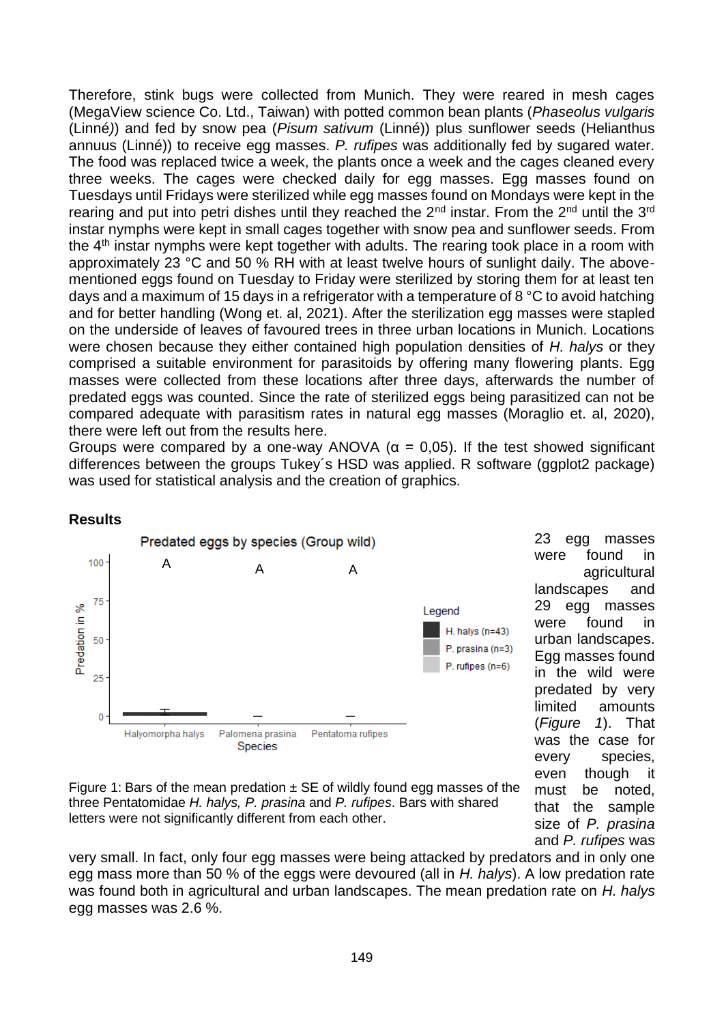Therefore, stink bugs were collected from Munich. They were reared in mesh cages (MegaView science Co. Ltd., Taiwan) with potted common bean plants (*Phaseolus vulgaris* (Linné*)*) and fed by snow pea (*Pisum sativum* (Linné)) plus sunflower seeds (Helianthus annuus (Linné)) to receive egg masses. *P. rufipes* was additionally fed by sugared water. The food was replaced twice a week, the plants once a week and the cages cleaned every three weeks. The cages were checked daily for egg masses. Egg masses found on Tuesdays until Fridays were sterilized while egg masses found on Mondays were kept in the rearing and put into petri dishes until they reached the  $2^{nd}$  instar. From the  $2^{nd}$  until the  $3^{rd}$ instar nymphs were kept in small cages together with snow pea and sunflower seeds. From the 4<sup>th</sup> instar nymphs were kept together with adults. The rearing took place in a room with approximately 23 °C and 50 % RH with at least twelve hours of sunlight daily. The abovementioned eggs found on Tuesday to Friday were sterilized by storing them for at least ten days and a maximum of 15 days in a refrigerator with a temperature of 8 °C to avoid hatching and for better handling (Wong et. al, 2021). After the sterilization egg masses were stapled on the underside of leaves of favoured trees in three urban locations in Munich. Locations were chosen because they either contained high population densities of *H. halys* or they comprised a suitable environment for parasitoids by offering many flowering plants. Egg masses were collected from these locations after three days, afterwards the number of predated eggs was counted. Since the rate of sterilized eggs being parasitized can not be compared adequate with parasitism rates in natural egg masses (Moraglio et. al, 2020), there were left out from the results here.

Groups were compared by a one-way ANOVA ( $\alpha$  = 0,05). If the test showed significant differences between the groups Tukey´s HSD was applied. R software (ggplot2 package) was used for statistical analysis and the creation of graphics.

#### **Results**



23 egg masses were found in agricultural landscapes and 29 egg masses were found in urban landscapes. Egg masses found in the wild were predated by very limited amounts (*[Figure 1](#page-1-0)*). That was the case for every species, even though it must be noted, that the sample size of *P. prasina* and *P. rufipes* was

<span id="page-1-0"></span>Figure 1: Bars of the mean predation  $\pm$  SE of wildly found egg masses of the three Pentatomidae *H. halys, P. prasina* and *P. rufipes*. Bars with shared letters were not significantly different from each other.

very small. In fact, only four egg masses were being attacked by predators and in only one egg mass more than 50 % of the eggs were devoured (all in *H. halys*). A low predation rate was found both in agricultural and urban landscapes. The mean predation rate on *H. halys* egg masses was 2.6 %.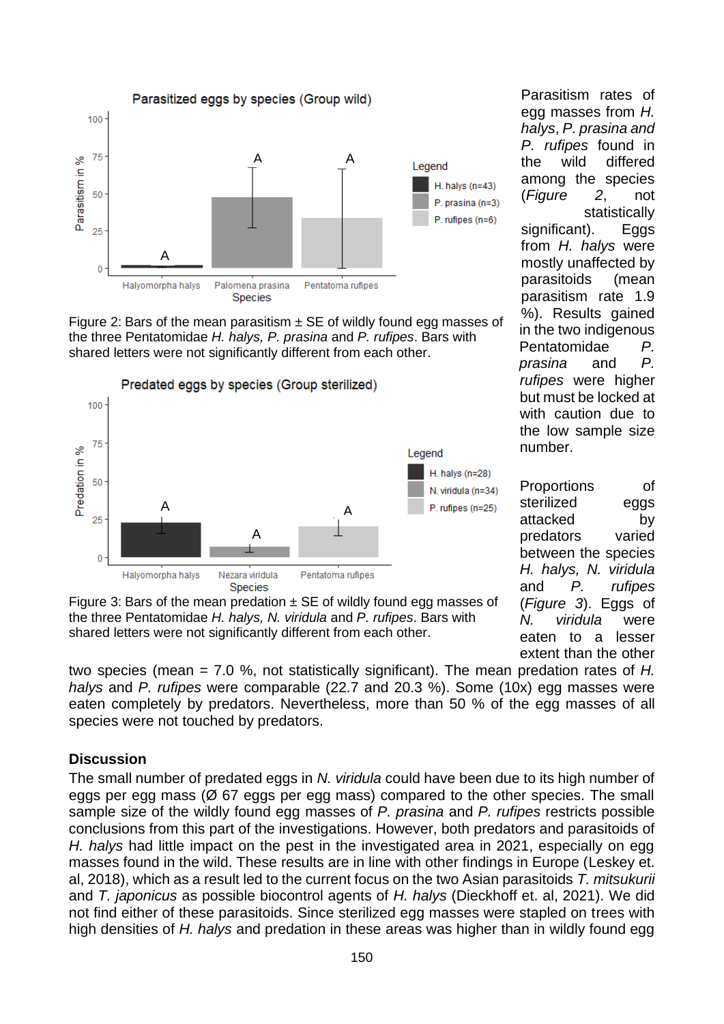

<span id="page-2-0"></span>Figure 2: Bars of the mean parasitism  $\pm$  SE of wildly found egg masses of the three Pentatomidae *H. halys, P. prasina* and *P. rufipes*. Bars with shared letters were not significantly different from each other.



<span id="page-2-1"></span>Figure 3: Bars of the mean predation  $\pm$  SE of wildly found egg masses of the three Pentatomidae *H. halys, N. viridula* and *P. rufipes*. Bars with shared letters were not significantly different from each other.

two species (mean = 7.0 %, not statistically significant). The mean predation rates of *H. halys* and *P. rufipes* were comparable (22.7 and 20.3 %). Some (10x) egg masses were eaten completely by predators. Nevertheless, more than 50 % of the egg masses of all species were not touched by predators.

#### **Discussion**

The small number of predated eggs in *N. viridula* could have been due to its high number of eggs per egg mass (Ø 67 eggs per egg mass) compared to the other species. The small sample size of the wildly found egg masses of *P. prasina* and *P. rufipes* restricts possible conclusions from this part of the investigations. However, both predators and parasitoids of *H. halvs* had little impact on the pest in the investigated area in 2021, especially on egg masses found in the wild. These results are in line with other findings in Europe (Leskey et. al, 2018), which as a result led to the current focus on the two Asian parasitoids *T. mitsukurii* and *T. japonicus* as possible biocontrol agents of *H. halys* (Dieckhoff et. al, 2021). We did not find either of these parasitoids. Since sterilized egg masses were stapled on trees with high densities of *H. halys* and predation in these areas was higher than in wildly found egg

Parasitism rates of egg masses from *H. halys*, *P. prasina and P. rufipes* found in the wild differed among the species (*[Figure 2](#page-2-0)*, not statistically significant). Eggs from *H. halys* were mostly unaffected by parasitoids (mean parasitism rate 1.9 %). Results gained in the two indigenous Pentatomidae *P. prasina* and *P. rufipes* were higher but must be locked at with caution due to the low sample size number.

Proportions of sterilized eggs attacked by predators varied between the species *H. halys, N. viridula* and *P. rufipes*  (*[Figure 3](#page-2-1)*). Eggs of *N. viridula* were eaten to a lesser extent than the other